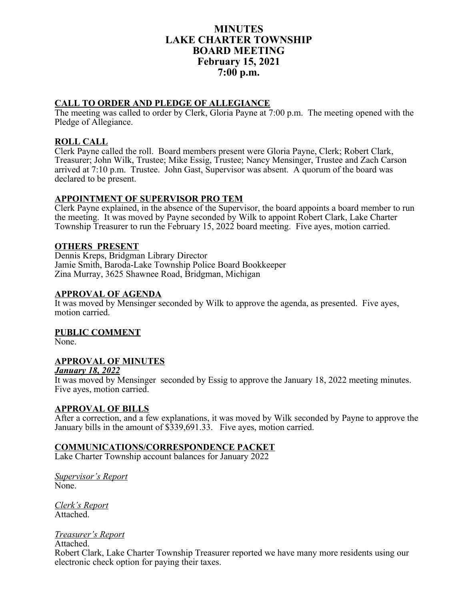# **MINUTES LAKE CHARTER TOWNSHIP BOARD MEETING February 15, 2021 7:00 p.m.**

# **CALL TO ORDER AND PLEDGE OF ALLEGIANCE**

The meeting was called to order by Clerk, Gloria Payne at 7:00 p.m. The meeting opened with the Pledge of Allegiance.

### **ROLL CALL**

Clerk Payne called the roll. Board members present were Gloria Payne, Clerk; Robert Clark, Treasurer; John Wilk, Trustee; Mike Essig, Trustee; Nancy Mensinger, Trustee and Zach Carson arrived at 7:10 p.m. Trustee. John Gast, Supervisor was absent. A quorum of the board was declared to be present.

### **APPOINTMENT OF SUPERVISOR PRO TEM**

Clerk Payne explained, in the absence of the Supervisor, the board appoints a board member to run the meeting. It was moved by Payne seconded by Wilk to appoint Robert Clark, Lake Charter Township Treasurer to run the February 15, 2022 board meeting. Five ayes, motion carried.

### **OTHERS PRESENT**

Dennis Kreps, Bridgman Library Director Jamie Smith, Baroda-Lake Township Police Board Bookkeeper Zina Murray, 3625 Shawnee Road, Bridgman, Michigan

### **APPROVAL OF AGENDA**

It was moved by Mensinger seconded by Wilk to approve the agenda, as presented. Five ayes, motion carried.

**PUBLIC COMMENT**

None.

# **APPROVAL OF MINUTES**

#### *January 18, 2022*

It was moved by Mensinger seconded by Essig to approve the January 18, 2022 meeting minutes. Five ayes, motion carried.

#### **APPROVAL OF BILLS**

After a correction, and a few explanations, it was moved by Wilk seconded by Payne to approve the January bills in the amount of \$339,691.33. Five ayes, motion carried.

# **COMMUNICATIONS/CORRESPONDENCE PACKET**

Lake Charter Township account balances for January 2022

*Supervisor's Report* None.

*Clerk's Report* Attached.

#### *Treasurer's Report*

Attached.

Robert Clark, Lake Charter Township Treasurer reported we have many more residents using our electronic check option for paying their taxes.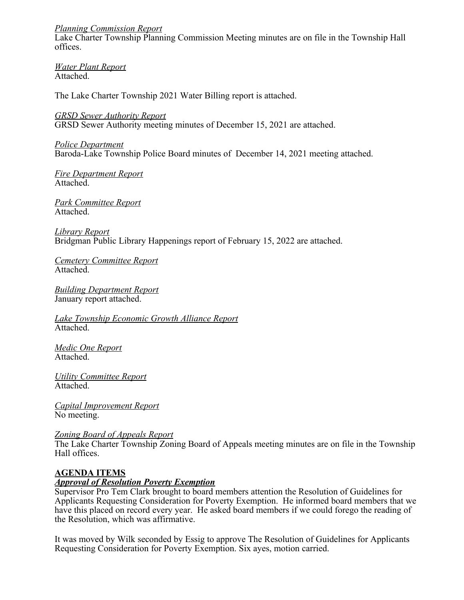### *Planning Commission Report*

Lake Charter Township Planning Commission Meeting minutes are on file in the Township Hall offices.

*Water Plant Report* Attached.

The Lake Charter Township 2021 Water Billing report is attached.

*GRSD Sewer Authority Report* GRSD Sewer Authority meeting minutes of December 15, 2021 are attached.

*Police Department* Baroda-Lake Township Police Board minutes of December 14, 2021 meeting attached.

*Fire Department Report* Attached.

*Park Committee Report* Attached.

*Library Report* Bridgman Public Library Happenings report of February 15, 2022 are attached.

*Cemetery Committee Report* Attached.

*Building Department Report* January report attached.

*Lake Township Economic Growth Alliance Report* Attached.

*Medic One Report* Attached.

*Utility Committee Report* Attached.

*Capital Improvement Report* No meeting.

*Zoning Board of Appeals Report*

The Lake Charter Township Zoning Board of Appeals meeting minutes are on file in the Township Hall offices.

# **AGENDA ITEMS**

#### *Approval of Resolution Poverty Exemption*

Supervisor Pro Tem Clark brought to board members attention the Resolution of Guidelines for Applicants Requesting Consideration for Poverty Exemption. He informed board members that we have this placed on record every year. He asked board members if we could forego the reading of the Resolution, which was affirmative.

It was moved by Wilk seconded by Essig to approve The Resolution of Guidelines for Applicants Requesting Consideration for Poverty Exemption. Six ayes, motion carried.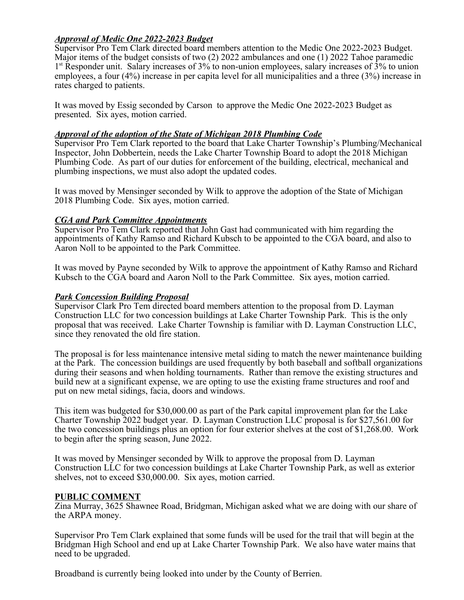# *Approval of Medic One 2022-2023 Budget*

Supervisor Pro Tem Clark directed board members attention to the Medic One 2022-2023 Budget. Major items of the budget consists of two (2) 2022 ambulances and one (1) 2022 Tahoe paramedic 1<sup>st</sup> Responder unit. Salary increases of 3% to non-union employees, salary increases of 3% to union employees, a four (4%) increase in per capita level for all municipalities and a three (3%) increase in rates charged to patients.

It was moved by Essig seconded by Carson to approve the Medic One 2022-2023 Budget as presented. Six ayes, motion carried.

### *Approval of the adoption of the State of Michigan 2018 Plumbing Code*

Supervisor Pro Tem Clark reported to the board that Lake Charter Township's Plumbing/Mechanical Inspector, John Dobbertein, needs the Lake Charter Township Board to adopt the 2018 Michigan Plumbing Code. As part of our duties for enforcement of the building, electrical, mechanical and plumbing inspections, we must also adopt the updated codes.

It was moved by Mensinger seconded by Wilk to approve the adoption of the State of Michigan 2018 Plumbing Code. Six ayes, motion carried.

# *CGA and Park Committee Appointments*

Supervisor Pro Tem Clark reported that John Gast had communicated with him regarding the appointments of Kathy Ramso and Richard Kubsch to be appointed to the CGA board, and also to Aaron Noll to be appointed to the Park Committee.

It was moved by Payne seconded by Wilk to approve the appointment of Kathy Ramso and Richard Kubsch to the CGA board and Aaron Noll to the Park Committee. Six ayes, motion carried.

### *Park Concession Building Proposal*

Supervisor Clark Pro Tem directed board members attention to the proposal from D. Layman Construction LLC for two concession buildings at Lake Charter Township Park. This is the only proposal that was received. Lake Charter Township is familiar with D. Layman Construction LLC, since they renovated the old fire station.

The proposal is for less maintenance intensive metal siding to match the newer maintenance building at the Park. The concession buildings are used frequently by both baseball and softball organizations during their seasons and when holding tournaments. Rather than remove the existing structures and build new at a significant expense, we are opting to use the existing frame structures and roof and put on new metal sidings, facia, doors and windows.

This item was budgeted for \$30,000.00 as part of the Park capital improvement plan for the Lake Charter Township 2022 budget year. D. Layman Construction LLC proposal is for \$27,561.00 for the two concession buildings plus an option for four exterior shelves at the cost of \$1,268.00. Work to begin after the spring season, June 2022.

It was moved by Mensinger seconded by Wilk to approve the proposal from D. Layman Construction LLC for two concession buildings at Lake Charter Township Park, as well as exterior shelves, not to exceed \$30,000.00. Six ayes, motion carried.

# **PUBLIC COMMENT**

Zina Murray, 3625 Shawnee Road, Bridgman, Michigan asked what we are doing with our share of the ARPA money.

Supervisor Pro Tem Clark explained that some funds will be used for the trail that will begin at the Bridgman High School and end up at Lake Charter Township Park. We also have water mains that need to be upgraded.

Broadband is currently being looked into under by the County of Berrien.